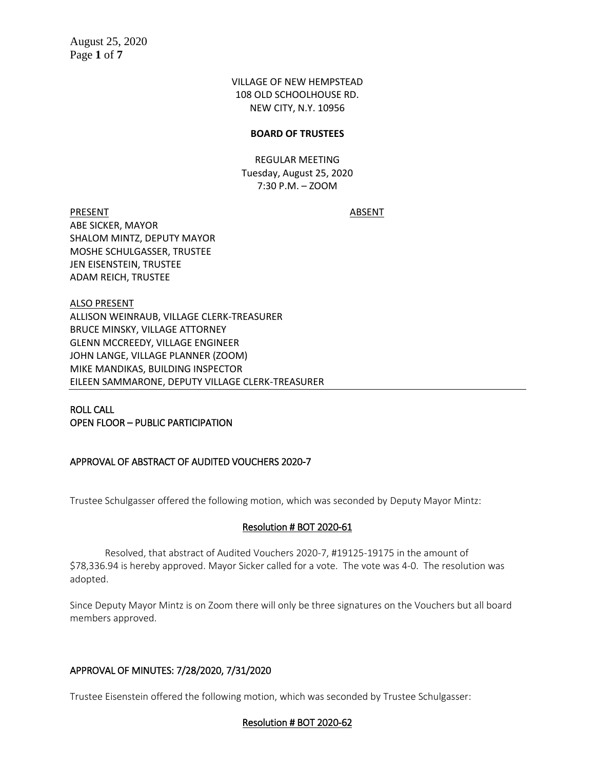VILLAGE OF NEW HEMPSTEAD 108 OLD SCHOOLHOUSE RD. NEW CITY, N.Y. 10956

### **BOARD OF TRUSTEES**

REGULAR MEETING Tuesday, August 25, 2020 7:30 P.M. – ZOOM

PRESENT ABSENT ABE SICKER, MAYOR SHALOM MINTZ, DEPUTY MAYOR MOSHE SCHULGASSER, TRUSTEE JEN EISENSTEIN, TRUSTEE ADAM REICH, TRUSTEE

ALSO PRESENT ALLISON WEINRAUB, VILLAGE CLERK-TREASURER BRUCE MINSKY, VILLAGE ATTORNEY GLENN MCCREEDY, VILLAGE ENGINEER JOHN LANGE, VILLAGE PLANNER (ZOOM) MIKE MANDIKAS, BUILDING INSPECTOR EILEEN SAMMARONE, DEPUTY VILLAGE CLERK-TREASURER

ROLL CALL OPEN FLOOR – PUBLIC PARTICIPATION

## APPROVAL OF ABSTRACT OF AUDITED VOUCHERS 2020-7

Trustee Schulgasser offered the following motion, which was seconded by Deputy Mayor Mintz:

## Resolution # BOT 2020-61

Resolved, that abstract of Audited Vouchers 2020-7, #19125-19175 in the amount of \$78,336.94 is hereby approved. Mayor Sicker called for a vote. The vote was 4-0. The resolution was adopted.

Since Deputy Mayor Mintz is on Zoom there will only be three signatures on the Vouchers but all board members approved.

## APPROVAL OF MINUTES: 7/28/2020, 7/31/2020

Trustee Eisenstein offered the following motion, which was seconded by Trustee Schulgasser:

## Resolution # BOT 2020-62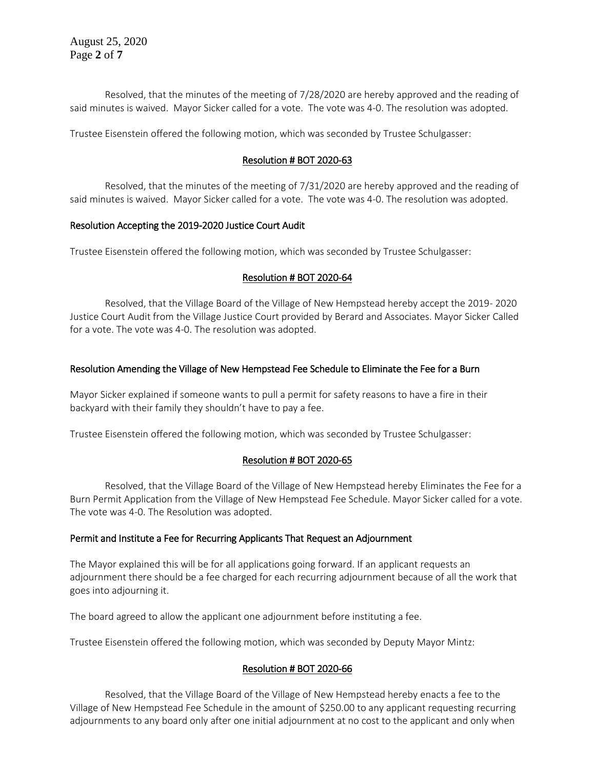August 25, 2020 Page **2** of **7**

Resolved, that the minutes of the meeting of 7/28/2020 are hereby approved and the reading of said minutes is waived. Mayor Sicker called for a vote. The vote was 4-0. The resolution was adopted.

Trustee Eisenstein offered the following motion, which was seconded by Trustee Schulgasser:

## Resolution # BOT 2020-63

Resolved, that the minutes of the meeting of 7/31/2020 are hereby approved and the reading of said minutes is waived. Mayor Sicker called for a vote. The vote was 4-0. The resolution was adopted.

### Resolution Accepting the 2019-2020 Justice Court Audit

Trustee Eisenstein offered the following motion, which was seconded by Trustee Schulgasser:

### Resolution # BOT 2020-64

Resolved, that the Village Board of the Village of New Hempstead hereby accept the 2019- 2020 Justice Court Audit from the Village Justice Court provided by Berard and Associates. Mayor Sicker Called for a vote. The vote was 4-0. The resolution was adopted.

## Resolution Amending the Village of New Hempstead Fee Schedule to Eliminate the Fee for a Burn

Mayor Sicker explained if someone wants to pull a permit for safety reasons to have a fire in their backyard with their family they shouldn't have to pay a fee.

Trustee Eisenstein offered the following motion, which was seconded by Trustee Schulgasser:

## Resolution # BOT 2020-65

Resolved, that the Village Board of the Village of New Hempstead hereby Eliminates the Fee for a Burn Permit Application from the Village of New Hempstead Fee Schedule. Mayor Sicker called for a vote. The vote was 4-0. The Resolution was adopted.

#### Permit and Institute a Fee for Recurring Applicants That Request an Adjournment

The Mayor explained this will be for all applications going forward. If an applicant requests an adjournment there should be a fee charged for each recurring adjournment because of all the work that goes into adjourning it.

The board agreed to allow the applicant one adjournment before instituting a fee.

Trustee Eisenstein offered the following motion, which was seconded by Deputy Mayor Mintz:

## Resolution # BOT 2020-66

Resolved, that the Village Board of the Village of New Hempstead hereby enacts a fee to the Village of New Hempstead Fee Schedule in the amount of \$250.00 to any applicant requesting recurring adjournments to any board only after one initial adjournment at no cost to the applicant and only when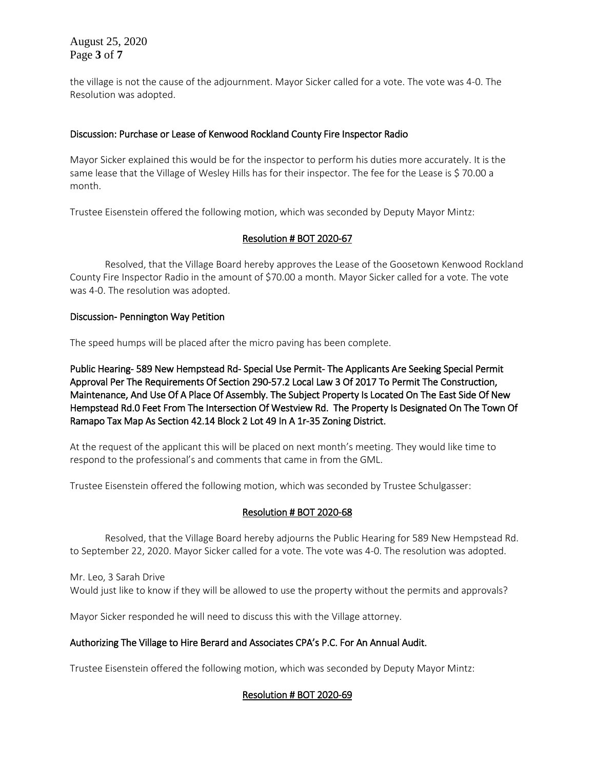August 25, 2020 Page **3** of **7**

the village is not the cause of the adjournment. Mayor Sicker called for a vote. The vote was 4-0. The Resolution was adopted.

## Discussion: Purchase or Lease of Kenwood Rockland County Fire Inspector Radio

Mayor Sicker explained this would be for the inspector to perform his duties more accurately. It is the same lease that the Village of Wesley Hills has for their inspector. The fee for the Lease is \$70.00 a month.

Trustee Eisenstein offered the following motion, which was seconded by Deputy Mayor Mintz:

# Resolution # BOT 2020-67

Resolved, that the Village Board hereby approves the Lease of the Goosetown Kenwood Rockland County Fire Inspector Radio in the amount of \$70.00 a month. Mayor Sicker called for a vote. The vote was 4-0. The resolution was adopted.

## Discussion- Pennington Way Petition

The speed humps will be placed after the micro paving has been complete.

Public Hearing- 589 New Hempstead Rd- Special Use Permit- The Applicants Are Seeking Special Permit Approval Per The Requirements Of Section 290-57.2 Local Law 3 Of 2017 To Permit The Construction, Maintenance, And Use Of A Place Of Assembly. The Subject Property Is Located On The East Side Of New Hempstead Rd.0 Feet From The Intersection Of Westview Rd. The Property Is Designated On The Town Of Ramapo Tax Map As Section 42.14 Block 2 Lot 49 In A 1r-35 Zoning District.

At the request of the applicant this will be placed on next month's meeting. They would like time to respond to the professional's and comments that came in from the GML.

Trustee Eisenstein offered the following motion, which was seconded by Trustee Schulgasser:

## Resolution # BOT 2020-68

Resolved, that the Village Board hereby adjourns the Public Hearing for 589 New Hempstead Rd. to September 22, 2020. Mayor Sicker called for a vote. The vote was 4-0. The resolution was adopted.

Mr. Leo, 3 Sarah Drive Would just like to know if they will be allowed to use the property without the permits and approvals?

Mayor Sicker responded he will need to discuss this with the Village attorney.

## Authorizing The Village to Hire Berard and Associates CPA's P.C. For An Annual Audit.

Trustee Eisenstein offered the following motion, which was seconded by Deputy Mayor Mintz:

## Resolution # BOT 2020-69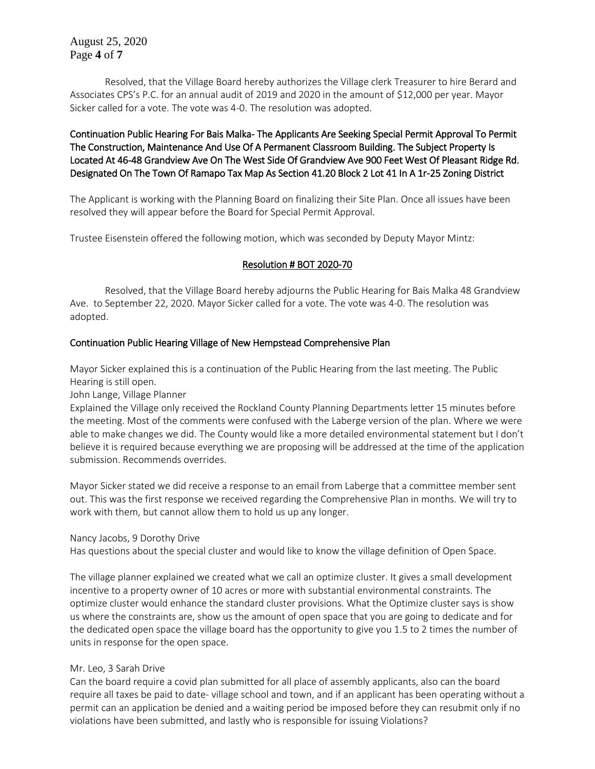August 25, 2020 Page **4** of **7**

Resolved, that the Village Board hereby authorizes the Village clerk Treasurer to hire Berard and Associates CPS's P.C. for an annual audit of 2019 and 2020 in the amount of \$12,000 per year. Mayor Sicker called for a vote. The vote was 4-0. The resolution was adopted.

# Continuation Public Hearing For Bais Malka- The Applicants Are Seeking Special Permit Approval To Permit The Construction, Maintenance And Use Of A Permanent Classroom Building. The Subject Property Is Located At 46-48 Grandview Ave On The West Side Of Grandview Ave 900 Feet West Of Pleasant Ridge Rd. Designated On The Town Of Ramapo Tax Map As Section 41.20 Block 2 Lot 41 In A 1r-25 Zoning District

The Applicant is working with the Planning Board on finalizing their Site Plan. Once all issues have been resolved they will appear before the Board for Special Permit Approval.

Trustee Eisenstein offered the following motion, which was seconded by Deputy Mayor Mintz:

## Resolution # BOT 2020-70

Resolved, that the Village Board hereby adjourns the Public Hearing for Bais Malka 48 Grandview Ave. to September 22, 2020. Mayor Sicker called for a vote. The vote was 4-0. The resolution was adopted.

## Continuation Public Hearing Village of New Hempstead Comprehensive Plan

Mayor Sicker explained this is a continuation of the Public Hearing from the last meeting. The Public Hearing is still open.

John Lange, Village Planner

Explained the Village only received the Rockland County Planning Departments letter 15 minutes before the meeting. Most of the comments were confused with the Laberge version of the plan. Where we were able to make changes we did. The County would like a more detailed environmental statement but I don't believe it is required because everything we are proposing will be addressed at the time of the application submission. Recommends overrides.

Mayor Sicker stated we did receive a response to an email from Laberge that a committee member sent out. This was the first response we received regarding the Comprehensive Plan in months. We will try to work with them, but cannot allow them to hold us up any longer.

#### Nancy Jacobs, 9 Dorothy Drive

Has questions about the special cluster and would like to know the village definition of Open Space.

The village planner explained we created what we call an optimize cluster. It gives a small development incentive to a property owner of 10 acres or more with substantial environmental constraints. The optimize cluster would enhance the standard cluster provisions. What the Optimize cluster says is show us where the constraints are, show us the amount of open space that you are going to dedicate and for the dedicated open space the village board has the opportunity to give you 1.5 to 2 times the number of units in response for the open space.

## Mr. Leo, 3 Sarah Drive

Can the board require a covid plan submitted for all place of assembly applicants, also can the board require all taxes be paid to date- village school and town, and if an applicant has been operating without a permit can an application be denied and a waiting period be imposed before they can resubmit only if no violations have been submitted, and lastly who is responsible for issuing Violations?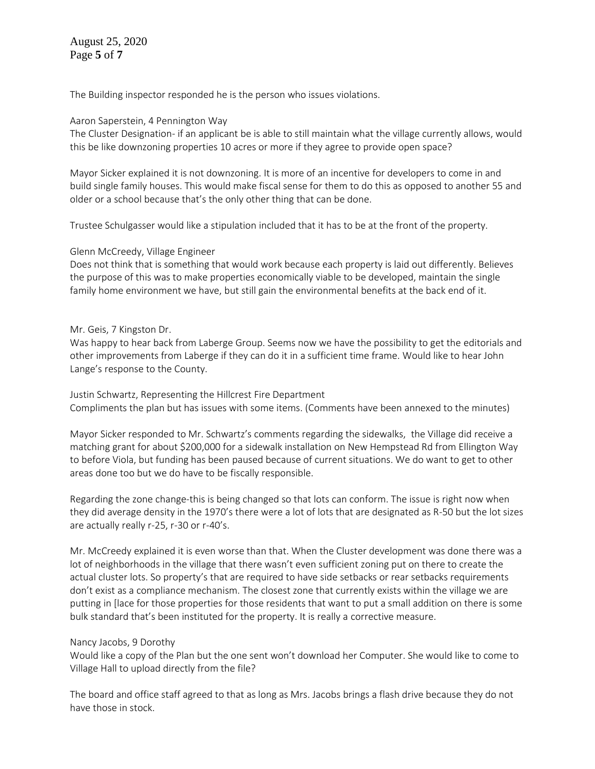August 25, 2020 Page **5** of **7**

The Building inspector responded he is the person who issues violations.

#### Aaron Saperstein, 4 Pennington Way

The Cluster Designation- if an applicant be is able to still maintain what the village currently allows, would this be like downzoning properties 10 acres or more if they agree to provide open space?

Mayor Sicker explained it is not downzoning. It is more of an incentive for developers to come in and build single family houses. This would make fiscal sense for them to do this as opposed to another 55 and older or a school because that's the only other thing that can be done.

Trustee Schulgasser would like a stipulation included that it has to be at the front of the property.

### Glenn McCreedy, Village Engineer

Does not think that is something that would work because each property is laid out differently. Believes the purpose of this was to make properties economically viable to be developed, maintain the single family home environment we have, but still gain the environmental benefits at the back end of it.

### Mr. Geis, 7 Kingston Dr.

Was happy to hear back from Laberge Group. Seems now we have the possibility to get the editorials and other improvements from Laberge if they can do it in a sufficient time frame. Would like to hear John Lange's response to the County.

Justin Schwartz, Representing the Hillcrest Fire Department Compliments the plan but has issues with some items. (Comments have been annexed to the minutes)

Mayor Sicker responded to Mr. Schwartz's comments regarding the sidewalks, the Village did receive a matching grant for about \$200,000 for a sidewalk installation on New Hempstead Rd from Ellington Way to before Viola, but funding has been paused because of current situations. We do want to get to other areas done too but we do have to be fiscally responsible.

Regarding the zone change-this is being changed so that lots can conform. The issue is right now when they did average density in the 1970's there were a lot of lots that are designated as R-50 but the lot sizes are actually really r-25, r-30 or r-40's.

Mr. McCreedy explained it is even worse than that. When the Cluster development was done there was a lot of neighborhoods in the village that there wasn't even sufficient zoning put on there to create the actual cluster lots. So property's that are required to have side setbacks or rear setbacks requirements don't exist as a compliance mechanism. The closest zone that currently exists within the village we are putting in [lace for those properties for those residents that want to put a small addition on there is some bulk standard that's been instituted for the property. It is really a corrective measure.

#### Nancy Jacobs, 9 Dorothy

Would like a copy of the Plan but the one sent won't download her Computer. She would like to come to Village Hall to upload directly from the file?

The board and office staff agreed to that as long as Mrs. Jacobs brings a flash drive because they do not have those in stock.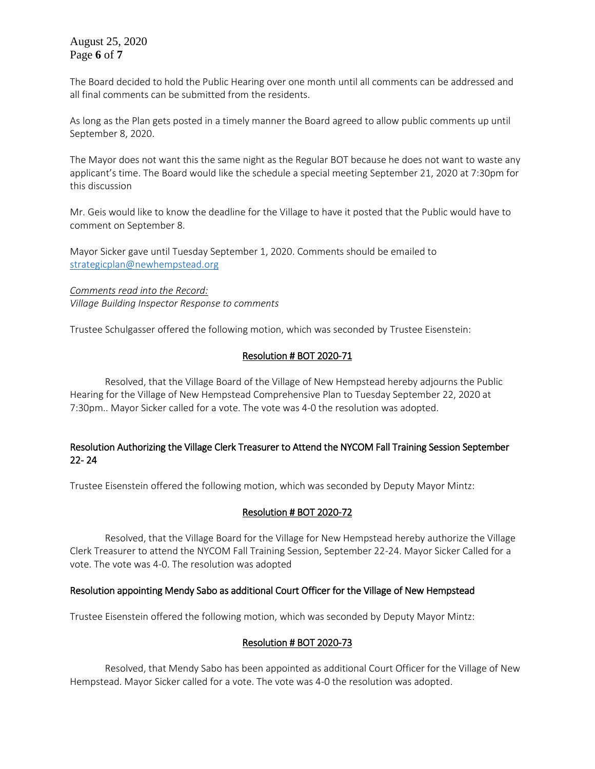August 25, 2020 Page **6** of **7**

The Board decided to hold the Public Hearing over one month until all comments can be addressed and all final comments can be submitted from the residents.

As long as the Plan gets posted in a timely manner the Board agreed to allow public comments up until September 8, 2020.

The Mayor does not want this the same night as the Regular BOT because he does not want to waste any applicant's time. The Board would like the schedule a special meeting September 21, 2020 at 7:30pm for this discussion

Mr. Geis would like to know the deadline for the Village to have it posted that the Public would have to comment on September 8.

Mayor Sicker gave until Tuesday September 1, 2020. Comments should be emailed to [strategicplan@newhempstead.org](mailto:strategicplan@newhempstead.org)

*Comments read into the Record: Village Building Inspector Response to comments* 

Trustee Schulgasser offered the following motion, which was seconded by Trustee Eisenstein:

## Resolution # BOT 2020-71

Resolved, that the Village Board of the Village of New Hempstead hereby adjourns the Public Hearing for the Village of New Hempstead Comprehensive Plan to Tuesday September 22, 2020 at 7:30pm.. Mayor Sicker called for a vote. The vote was 4-0 the resolution was adopted.

## Resolution Authorizing the Village Clerk Treasurer to Attend the NYCOM Fall Training Session September 22- 24

Trustee Eisenstein offered the following motion, which was seconded by Deputy Mayor Mintz:

# Resolution # BOT 2020-72

Resolved, that the Village Board for the Village for New Hempstead hereby authorize the Village Clerk Treasurer to attend the NYCOM Fall Training Session, September 22-24. Mayor Sicker Called for a vote. The vote was 4-0. The resolution was adopted

## Resolution appointing Mendy Sabo as additional Court Officer for the Village of New Hempstead

Trustee Eisenstein offered the following motion, which was seconded by Deputy Mayor Mintz:

## Resolution # BOT 2020-73

Resolved, that Mendy Sabo has been appointed as additional Court Officer for the Village of New Hempstead. Mayor Sicker called for a vote. The vote was 4-0 the resolution was adopted.